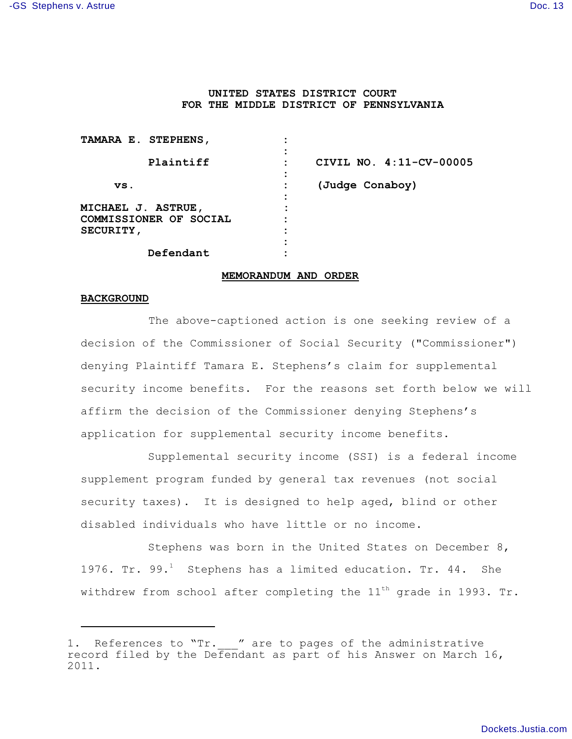# **UNITED STATES DISTRICT COURT FOR THE MIDDLE DISTRICT OF PENNSYLVANIA**

| TAMARA E. STEPHENS,                                                     |                         |
|-------------------------------------------------------------------------|-------------------------|
| Plaintiff                                                               | CIVIL NO. 4:11-CV-00005 |
| VS.                                                                     | (Judge Conaboy)         |
| <b>MICHAEL J. ASTRUE,</b><br>COMMISSIONER OF SOCIAL<br><b>SECURITY,</b> |                         |
| Defendant                                                               |                         |

### **MEMORANDUM AND ORDER**

### **BACKGROUND**

 The above-captioned action is one seeking review of a decision of the Commissioner of Social Security ("Commissioner") denying Plaintiff Tamara E. Stephens's claim for supplemental security income benefits. For the reasons set forth below we will affirm the decision of the Commissioner denying Stephens's application for supplemental security income benefits.

Supplemental security income (SSI) is a federal income supplement program funded by general tax revenues (not social security taxes). It is designed to help aged, blind or other disabled individuals who have little or no income.

Stephens was born in the United States on December 8, 1976. Tr. 99. $^1$  Stephens has a limited education. Tr. 44. She withdrew from school after completing the  $11<sup>th</sup>$  grade in 1993. Tr.

<sup>1.</sup> References to "Tr. " are to pages of the administrative record filed by the Defendant as part of his Answer on March 16, 2011.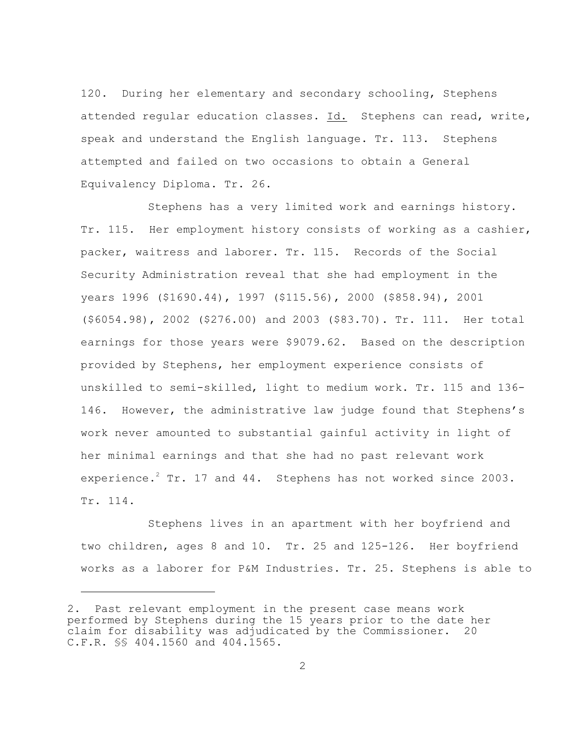120. During her elementary and secondary schooling, Stephens attended regular education classes. Id. Stephens can read, write, speak and understand the English language. Tr. 113. Stephens attempted and failed on two occasions to obtain a General Equivalency Diploma. Tr. 26.

Stephens has a very limited work and earnings history. Tr. 115. Her employment history consists of working as a cashier, packer, waitress and laborer. Tr. 115. Records of the Social Security Administration reveal that she had employment in the years 1996 (\$1690.44), 1997 (\$115.56), 2000 (\$858.94), 2001 (\$6054.98), 2002 (\$276.00) and 2003 (\$83.70). Tr. 111. Her total earnings for those years were \$9079.62. Based on the description provided by Stephens, her employment experience consists of unskilled to semi-skilled, light to medium work. Tr. 115 and 136- 146. However, the administrative law judge found that Stephens's work never amounted to substantial gainful activity in light of her minimal earnings and that she had no past relevant work experience.<sup>2</sup> Tr. 17 and 44. Stephens has not worked since 2003. Tr. 114.

Stephens lives in an apartment with her boyfriend and two children, ages 8 and 10. Tr. 25 and 125-126. Her boyfriend works as a laborer for P&M Industries. Tr. 25. Stephens is able to

<sup>2.</sup> Past relevant employment in the present case means work performed by Stephens during the 15 years prior to the date her claim for disability was adjudicated by the Commissioner. 20 C.F.R. §§ 404.1560 and 404.1565.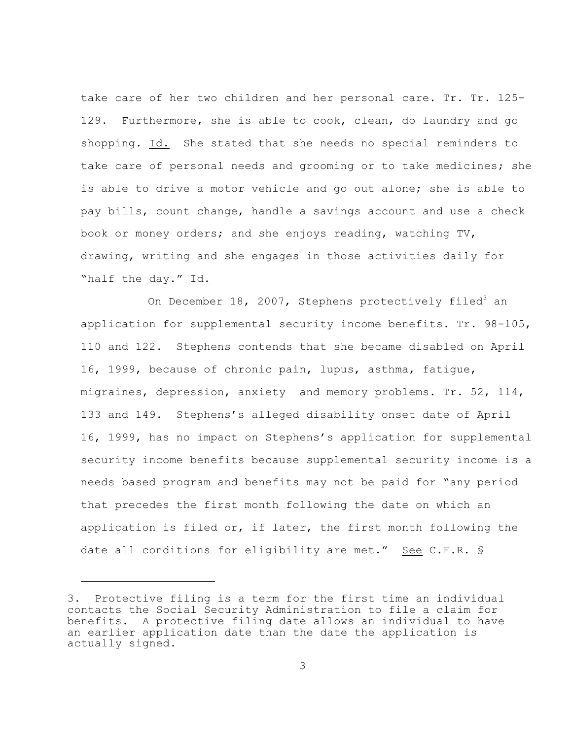take care of her two children and her personal care. Tr. Tr. 125- 129. Furthermore, she is able to cook, clean, do laundry and go shopping. Id. She stated that she needs no special reminders to take care of personal needs and grooming or to take medicines; she is able to drive a motor vehicle and go out alone; she is able to pay bills, count change, handle a savings account and use a check book or money orders; and she enjoys reading, watching TV, drawing, writing and she engages in those activities daily for "half the day." Id.

On December 18, 2007, Stephens protectively filed $^3$  an application for supplemental security income benefits. Tr. 98-105, 110 and 122. Stephens contends that she became disabled on April 16, 1999, because of chronic pain, lupus, asthma, fatigue, migraines, depression, anxiety and memory problems. Tr. 52, 114, 133 and 149. Stephens's alleged disability onset date of April 16, 1999, has no impact on Stephens's application for supplemental security income benefits because supplemental security income is a needs based program and benefits may not be paid for "any period that precedes the first month following the date on which an application is filed or, if later, the first month following the date all conditions for eligibility are met." See C.F.R. §

<sup>3.</sup> Protective filing is a term for the first time an individual contacts the Social Security Administration to file a claim for benefits. A protective filing date allows an individual to have an earlier application date than the date the application is actually signed.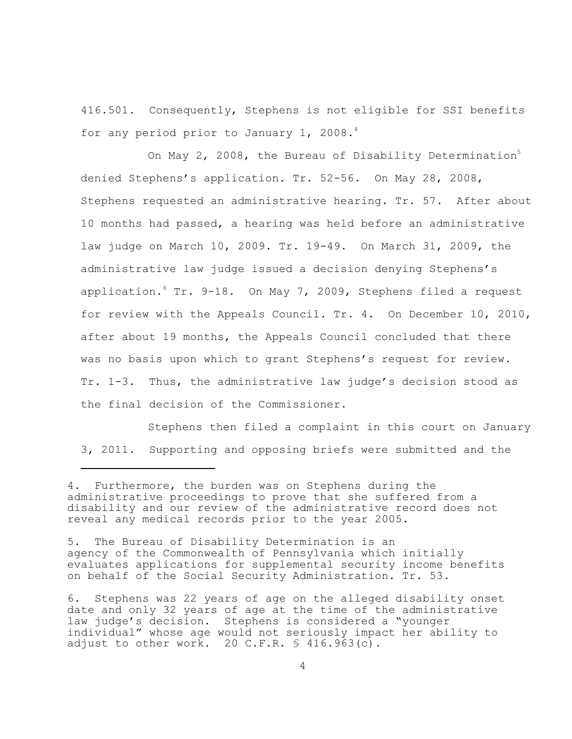416.501. Consequently, Stephens is not eligible for SSI benefits for any period prior to January 1, 2008. $4$ 

On May 2, 2008, the Bureau of Disability Determination<sup>5</sup> denied Stephens's application. Tr. 52-56. On May 28, 2008, Stephens requested an administrative hearing. Tr. 57. After about 10 months had passed, a hearing was held before an administrative law judge on March 10, 2009. Tr. 19-49. On March 31, 2009, the administrative law judge issued a decision denying Stephens's application. Tr. 9-18. On May 7, 2009, Stephens filed a request for review with the Appeals Council. Tr. 4. On December 10, 2010, after about 19 months, the Appeals Council concluded that there was no basis upon which to grant Stephens's request for review. Tr. 1-3. Thus, the administrative law judge's decision stood as the final decision of the Commissioner.

Stephens then filed a complaint in this court on January 3, 2011. Supporting and opposing briefs were submitted and the

<sup>4.</sup> Furthermore, the burden was on Stephens during the administrative proceedings to prove that she suffered from a disability and our review of the administrative record does not reveal any medical records prior to the year 2005.

<sup>5.</sup> The Bureau of Disability Determination is an agency of the Commonwealth of Pennsylvania which initially evaluates applications for supplemental security income benefits on behalf of the Social Security Administration. Tr. 53.

<sup>6.</sup> Stephens was 22 years of age on the alleged disability onset date and only 32 years of age at the time of the administrative law judge's decision. Stephens is considered a "younger individual" whose age would not seriously impact her ability to adjust to other work. 20 C.F.R.  $\frac{1}{5}$  416.963(c).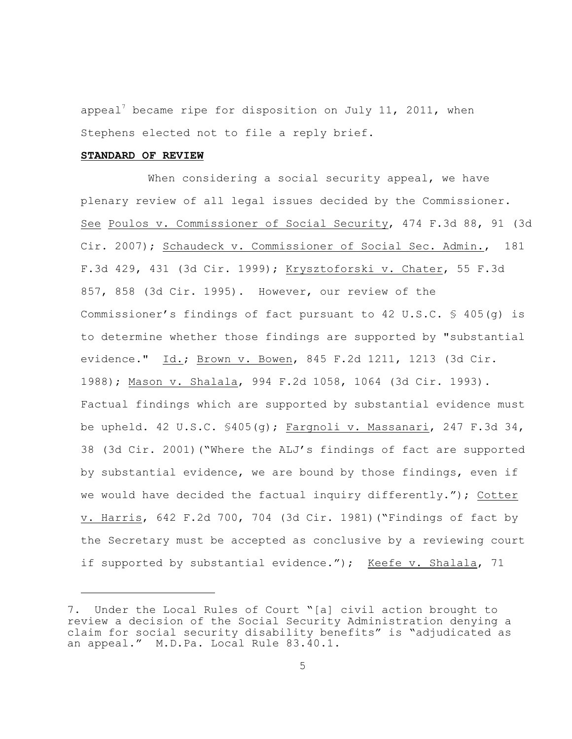appeal<sup>7</sup> became ripe for disposition on July 11, 2011, when Stephens elected not to file a reply brief.

# **STANDARD OF REVIEW**

When considering a social security appeal, we have plenary review of all legal issues decided by the Commissioner. See Poulos v. Commissioner of Social Security, 474 F.3d 88, 91 (3d Cir. 2007); Schaudeck v. Commissioner of Social Sec. Admin., 181 F.3d 429, 431 (3d Cir. 1999); Krysztoforski v. Chater, 55 F.3d 857, 858 (3d Cir. 1995). However, our review of the Commissioner's findings of fact pursuant to 42 U.S.C. § 405(g) is to determine whether those findings are supported by "substantial evidence." Id.; Brown v. Bowen, 845 F.2d 1211, 1213 (3d Cir. 1988); Mason v. Shalala, 994 F.2d 1058, 1064 (3d Cir. 1993). Factual findings which are supported by substantial evidence must be upheld. 42 U.S.C.  $$405(q)$ ; Fargnoli v. Massanari, 247 F.3d 34, 38 (3d Cir. 2001)("Where the ALJ's findings of fact are supported by substantial evidence, we are bound by those findings, even if we would have decided the factual inquiry differently."); Cotter v. Harris, 642 F.2d 700, 704 (3d Cir. 1981)("Findings of fact by the Secretary must be accepted as conclusive by a reviewing court if supported by substantial evidence."); Keefe v. Shalala, 71

<sup>7.</sup> Under the Local Rules of Court "[a] civil action brought to review a decision of the Social Security Administration denying a claim for social security disability benefits" is "adjudicated as an appeal." M.D.Pa. Local Rule 83.40.1.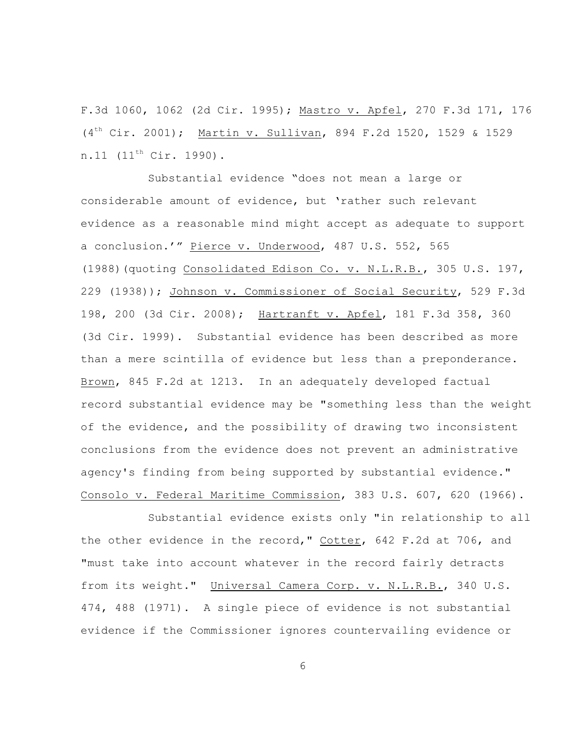F.3d 1060, 1062 (2d Cir. 1995); Mastro v. Apfel, 270 F.3d 171, 176  $(4<sup>th</sup> Cir. 2001)$ ; Martin v. Sullivan, 894 F.2d 1520, 1529 & 1529 n.11  $(11^{th}$  Cir. 1990).

Substantial evidence "does not mean a large or considerable amount of evidence, but 'rather such relevant evidence as a reasonable mind might accept as adequate to support a conclusion.'" Pierce v. Underwood, 487 U.S. 552, 565 (1988)(quoting Consolidated Edison Co. v. N.L.R.B., 305 U.S. 197, 229 (1938)); Johnson v. Commissioner of Social Security, 529 F.3d 198, 200 (3d Cir. 2008); Hartranft v. Apfel, 181 F.3d 358, 360 (3d Cir. 1999). Substantial evidence has been described as more than a mere scintilla of evidence but less than a preponderance. Brown, 845 F.2d at 1213. In an adequately developed factual record substantial evidence may be "something less than the weight of the evidence, and the possibility of drawing two inconsistent conclusions from the evidence does not prevent an administrative agency's finding from being supported by substantial evidence." Consolo v. Federal Maritime Commission, 383 U.S. 607, 620 (1966).

Substantial evidence exists only "in relationship to all the other evidence in the record," Cotter, 642 F.2d at 706, and "must take into account whatever in the record fairly detracts from its weight." Universal Camera Corp. v. N.L.R.B., 340 U.S. 474, 488 (1971). A single piece of evidence is not substantial evidence if the Commissioner ignores countervailing evidence or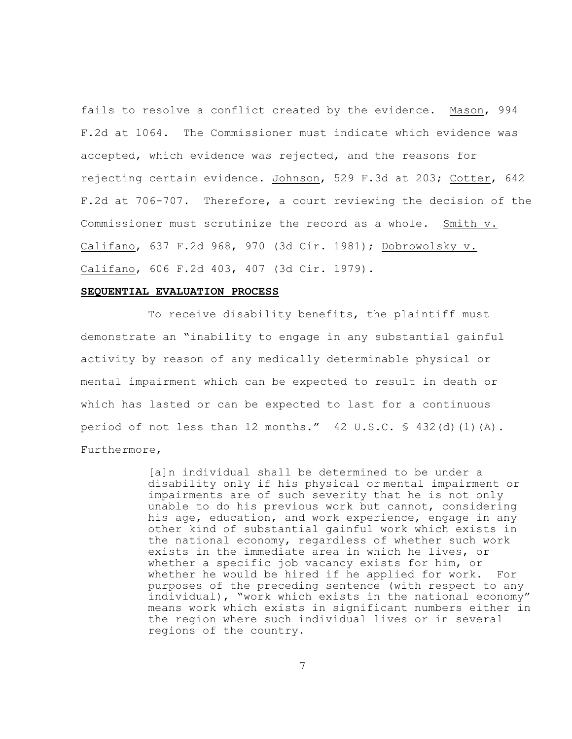fails to resolve a conflict created by the evidence. Mason, 994 F.2d at 1064. The Commissioner must indicate which evidence was accepted, which evidence was rejected, and the reasons for rejecting certain evidence. Johnson, 529 F.3d at 203; Cotter, 642 F.2d at 706-707. Therefore, a court reviewing the decision of the Commissioner must scrutinize the record as a whole. Smith v. Califano, 637 F.2d 968, 970 (3d Cir. 1981); Dobrowolsky v. Califano, 606 F.2d 403, 407 (3d Cir. 1979).

## **SEQUENTIAL EVALUATION PROCESS**

To receive disability benefits, the plaintiff must demonstrate an "inability to engage in any substantial gainful activity by reason of any medically determinable physical or mental impairment which can be expected to result in death or which has lasted or can be expected to last for a continuous period of not less than 12 months."  $42 \text{ U.S.C. }$  \$  $432$ (d)(1)(A). Furthermore,

> [a]n individual shall be determined to be under a disability only if his physical or mental impairment or impairments are of such severity that he is not only unable to do his previous work but cannot, considering his age, education, and work experience, engage in any other kind of substantial gainful work which exists in the national economy, regardless of whether such work exists in the immediate area in which he lives, or whether a specific job vacancy exists for him, or whether he would be hired if he applied for work. For purposes of the preceding sentence (with respect to any individual), "work which exists in the national economy" means work which exists in significant numbers either in the region where such individual lives or in several regions of the country.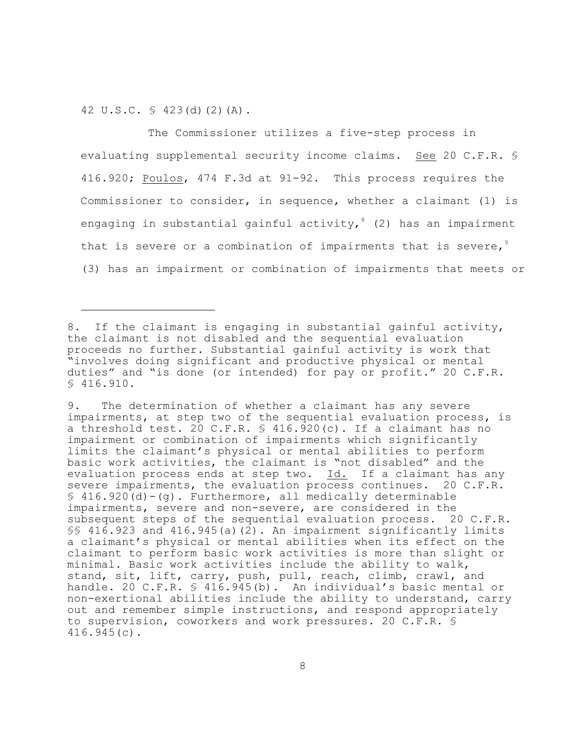42 U.S.C. § 423(d)(2)(A).

The Commissioner utilizes a five-step process in evaluating supplemental security income claims. See 20 C.F.R. § 416.920; Poulos, 474 F.3d at 91-92. This process requires the Commissioner to consider, in sequence, whether a claimant (1) is engaging in substantial gainful activity,  $(2)$  has an impairment that is severe or a combination of impairments that is severe,  $9$ (3) has an impairment or combination of impairments that meets or

<sup>8.</sup> If the claimant is engaging in substantial gainful activity, the claimant is not disabled and the sequential evaluation proceeds no further. Substantial gainful activity is work that "involves doing significant and productive physical or mental duties" and "is done (or intended) for pay or profit." 20 C.F.R. § 416.910.

<sup>9.</sup> The determination of whether a claimant has any severe impairments, at step two of the sequential evaluation process, is a threshold test. 20 C.F.R. § 416.920(c). If a claimant has no impairment or combination of impairments which significantly limits the claimant's physical or mental abilities to perform basic work activities, the claimant is "not disabled" and the evaluation process ends at step two. Id. If a claimant has any severe impairments, the evaluation process continues. 20 C.F.R.  $$416.920(d)-(q)$ . Furthermore, all medically determinable impairments, severe and non-severe, are considered in the subsequent steps of the sequential evaluation process. 20 C.F.R. §§ 416.923 and 416.945(a)(2). An impairment significantly limits a claimant's physical or mental abilities when its effect on the claimant to perform basic work activities is more than slight or minimal. Basic work activities include the ability to walk, stand, sit, lift, carry, push, pull, reach, climb, crawl, and handle. 20 C.F.R. § 416.945(b). An individual's basic mental or non-exertional abilities include the ability to understand, carry out and remember simple instructions, and respond appropriately to supervision, coworkers and work pressures. 20 C.F.R. § 416.945(c).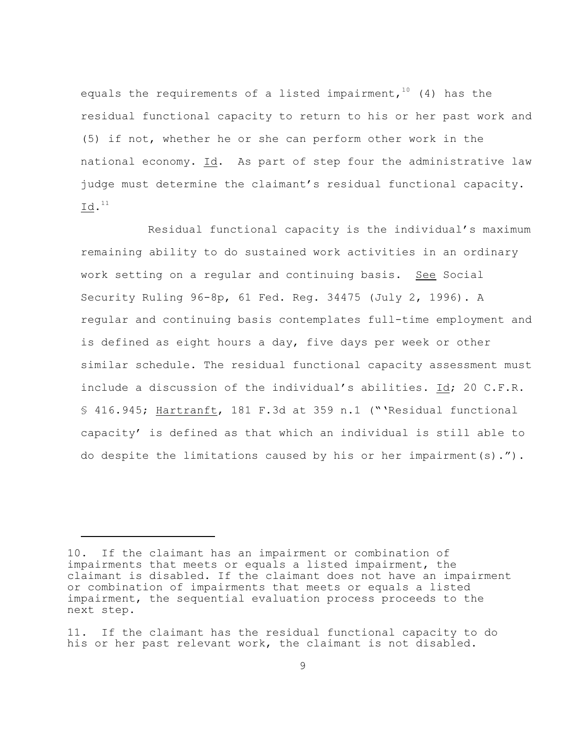equals the requirements of a listed impairment,  $10$  (4) has the residual functional capacity to return to his or her past work and (5) if not, whether he or she can perform other work in the national economy. Id. As part of step four the administrative law judge must determine the claimant's residual functional capacity.  $Id.<sup>11</sup>$ 

Residual functional capacity is the individual's maximum remaining ability to do sustained work activities in an ordinary work setting on a regular and continuing basis. See Social Security Ruling 96-8p, 61 Fed. Reg. 34475 (July 2, 1996). A regular and continuing basis contemplates full-time employment and is defined as eight hours a day, five days per week or other similar schedule. The residual functional capacity assessment must include a discussion of the individual's abilities. Id; 20 C.F.R. § 416.945; Hartranft, 181 F.3d at 359 n.1 ("'Residual functional capacity' is defined as that which an individual is still able to do despite the limitations caused by his or her impairment(s).").

<sup>10.</sup> If the claimant has an impairment or combination of impairments that meets or equals a listed impairment, the claimant is disabled. If the claimant does not have an impairment or combination of impairments that meets or equals a listed impairment, the sequential evaluation process proceeds to the next step.

<sup>11.</sup> If the claimant has the residual functional capacity to do his or her past relevant work, the claimant is not disabled.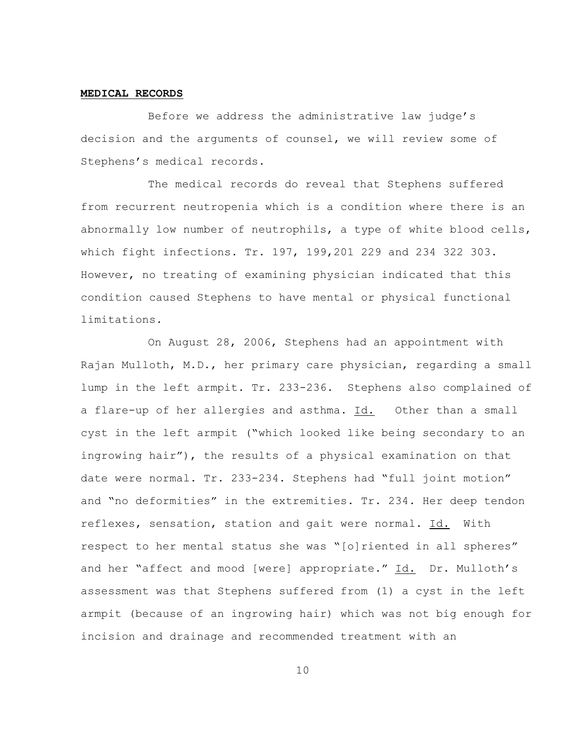#### **MEDICAL RECORDS**

Before we address the administrative law judge's decision and the arguments of counsel, we will review some of Stephens's medical records.

The medical records do reveal that Stephens suffered from recurrent neutropenia which is a condition where there is an abnormally low number of neutrophils, a type of white blood cells, which fight infections. Tr. 197, 199,201 229 and 234 322 303. However, no treating of examining physician indicated that this condition caused Stephens to have mental or physical functional limitations.

On August 28, 2006, Stephens had an appointment with Rajan Mulloth, M.D., her primary care physician, regarding a small lump in the left armpit. Tr. 233-236. Stephens also complained of a flare-up of her allergies and asthma. Id. Other than a small cyst in the left armpit ("which looked like being secondary to an ingrowing hair"), the results of a physical examination on that date were normal. Tr. 233-234. Stephens had "full joint motion" and "no deformities" in the extremities. Tr. 234. Her deep tendon reflexes, sensation, station and gait were normal. Id. With respect to her mental status she was "[o]riented in all spheres" and her "affect and mood [were] appropriate." Id. Dr. Mulloth's assessment was that Stephens suffered from (1) a cyst in the left armpit (because of an ingrowing hair) which was not big enough for incision and drainage and recommended treatment with an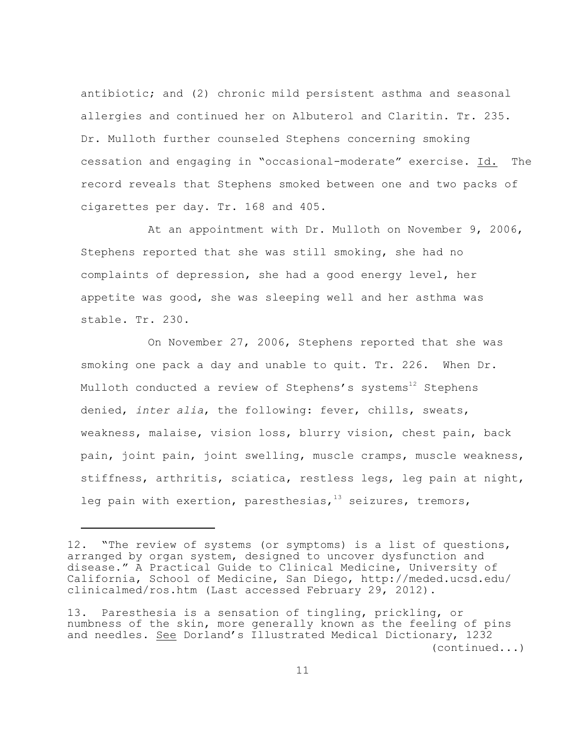antibiotic; and (2) chronic mild persistent asthma and seasonal allergies and continued her on Albuterol and Claritin. Tr. 235. Dr. Mulloth further counseled Stephens concerning smoking cessation and engaging in "occasional-moderate" exercise. Id. The record reveals that Stephens smoked between one and two packs of cigarettes per day. Tr. 168 and 405.

At an appointment with Dr. Mulloth on November 9, 2006, Stephens reported that she was still smoking, she had no complaints of depression, she had a good energy level, her appetite was good, she was sleeping well and her asthma was stable. Tr. 230.

On November 27, 2006, Stephens reported that she was smoking one pack a day and unable to quit. Tr. 226. When Dr. Mulloth conducted a review of Stephens's systems<sup>12</sup> Stephens denied, *inter alia*, the following: fever, chills, sweats, weakness, malaise, vision loss, blurry vision, chest pain, back pain, joint pain, joint swelling, muscle cramps, muscle weakness, stiffness, arthritis, sciatica, restless legs, leg pain at night, leg pain with exertion, paresthesias,  $13$  seizures, tremors,

<sup>12. &</sup>quot;The review of systems (or symptoms) is a list of questions, arranged by organ system, designed to uncover dysfunction and disease." A Practical Guide to Clinical Medicine, University of California, School of Medicine, San Diego, http://meded.ucsd.edu/ clinicalmed/ros.htm (Last accessed February 29, 2012).

<sup>13.</sup> Paresthesia is a sensation of tingling, prickling, or numbness of the skin, more generally known as the feeling of pins and needles. See Dorland's Illustrated Medical Dictionary, 1232 (continued...)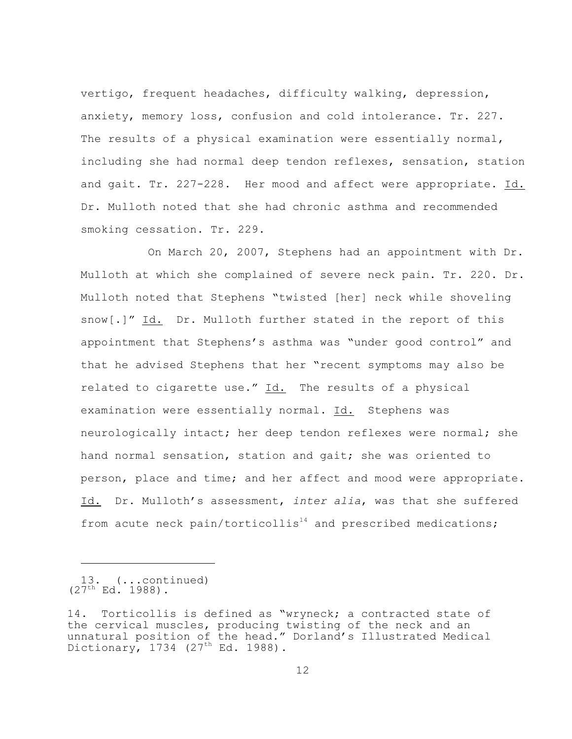vertigo, frequent headaches, difficulty walking, depression, anxiety, memory loss, confusion and cold intolerance. Tr. 227. The results of a physical examination were essentially normal, including she had normal deep tendon reflexes, sensation, station and gait. Tr. 227-228. Her mood and affect were appropriate. Id. Dr. Mulloth noted that she had chronic asthma and recommended smoking cessation. Tr. 229.

On March 20, 2007, Stephens had an appointment with Dr. Mulloth at which she complained of severe neck pain. Tr. 220. Dr. Mulloth noted that Stephens "twisted [her] neck while shoveling snow[.]" Id. Dr. Mulloth further stated in the report of this appointment that Stephens's asthma was "under good control" and that he advised Stephens that her "recent symptoms may also be related to cigarette use." Id. The results of a physical examination were essentially normal. Id. Stephens was neurologically intact; her deep tendon reflexes were normal; she hand normal sensation, station and gait; she was oriented to person, place and time; and her affect and mood were appropriate. Id. Dr. Mulloth's assessment, *inter alia*, was that she suffered from acute neck pain/torticollis<sup>14</sup> and prescribed medications;

<sup>13. (...</sup>continued)  $(27<sup>th</sup> Ed. 1988)$ .

<sup>14.</sup> Torticollis is defined as "wryneck; a contracted state of the cervical muscles, producing twisting of the neck and an unnatural position of the head." Dorland's Illustrated Medical Dictionary, 1734 (27<sup>th</sup> Ed. 1988).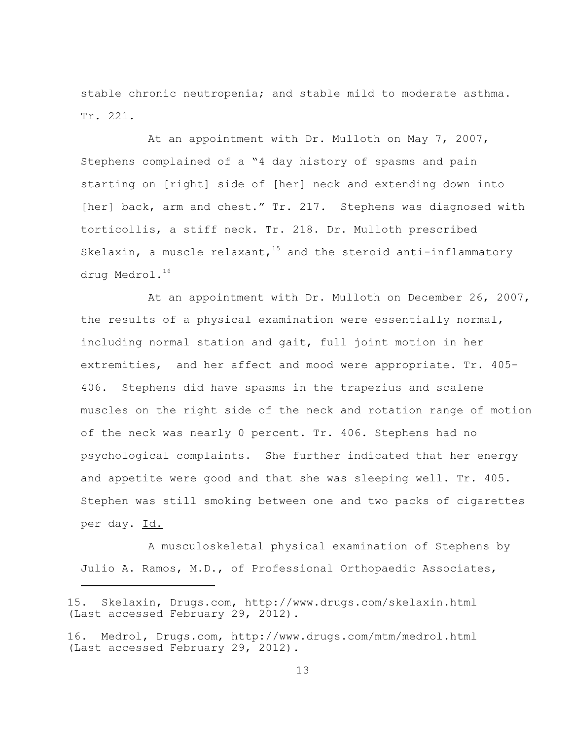stable chronic neutropenia; and stable mild to moderate asthma. Tr. 221.

At an appointment with Dr. Mulloth on May 7, 2007, Stephens complained of a "4 day history of spasms and pain starting on [right] side of [her] neck and extending down into [her] back, arm and chest." Tr. 217. Stephens was diagnosed with torticollis, a stiff neck. Tr. 218. Dr. Mulloth prescribed Skelaxin, a muscle relaxant,  $15$  and the steroid anti-inflammatory drug Medrol.<sup>16</sup>

At an appointment with Dr. Mulloth on December 26, 2007, the results of a physical examination were essentially normal, including normal station and gait, full joint motion in her extremities, and her affect and mood were appropriate. Tr. 405- 406. Stephens did have spasms in the trapezius and scalene muscles on the right side of the neck and rotation range of motion of the neck was nearly 0 percent. Tr. 406. Stephens had no psychological complaints. She further indicated that her energy and appetite were good and that she was sleeping well. Tr. 405. Stephen was still smoking between one and two packs of cigarettes per day. Id.

A musculoskeletal physical examination of Stephens by Julio A. Ramos, M.D., of Professional Orthopaedic Associates,

<sup>15.</sup> Skelaxin, Drugs.com, http://www.drugs.com/skelaxin.html (Last accessed February 29, 2012).

<sup>16.</sup> Medrol, Drugs.com, http://www.drugs.com/mtm/medrol.html (Last accessed February 29, 2012).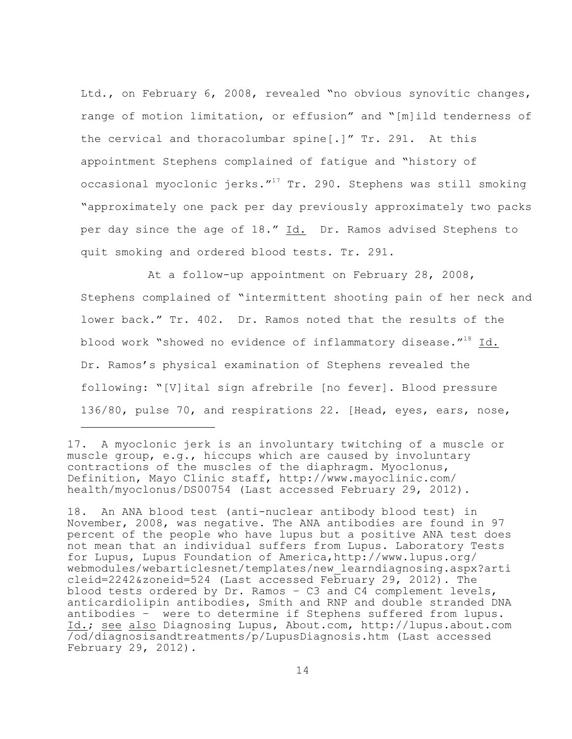Ltd., on February 6, 2008, revealed "no obvious synovitic changes, range of motion limitation, or effusion" and "[m]ild tenderness of the cervical and thoracolumbar spine[.]" Tr. 291. At this appointment Stephens complained of fatigue and "history of occasional myoclonic jerks. $17$  Tr. 290. Stephens was still smoking "approximately one pack per day previously approximately two packs per day since the age of 18." Id. Dr. Ramos advised Stephens to quit smoking and ordered blood tests. Tr. 291.

At a follow-up appointment on February 28, 2008, Stephens complained of "intermittent shooting pain of her neck and lower back." Tr. 402. Dr. Ramos noted that the results of the blood work "showed no evidence of inflammatory disease." $18$  Id. Dr. Ramos's physical examination of Stephens revealed the following: "[V]ital sign afrebrile [no fever]. Blood pressure 136/80, pulse 70, and respirations 22. [Head, eyes, ears, nose,

17. A myoclonic jerk is an involuntary twitching of a muscle or muscle group, e.g., hiccups which are caused by involuntary contractions of the muscles of the diaphragm. Myoclonus, Definition, Mayo Clinic staff, http://www.mayoclinic.com/ health/myoclonus/DS00754 (Last accessed February 29, 2012).

18. An ANA blood test (anti-nuclear antibody blood test) in November, 2008, was negative. The ANA antibodies are found in 97 percent of the people who have lupus but a positive ANA test does not mean that an individual suffers from Lupus. Laboratory Tests for Lupus, Lupus Foundation of America,http://www.lupus.org/ webmodules/webarticlesnet/templates/new\_learndiagnosing.aspx?arti cleid=2242&zoneid=524 (Last accessed February 29, 2012). The blood tests ordered by Dr. Ramos – C3 and C4 complement levels, anticardiolipin antibodies, Smith and RNP and double stranded DNA antibodies – were to determine if Stephens suffered from lupus. Id.; see also Diagnosing Lupus, About.com, http://lupus.about.com /od/diagnosisandtreatments/p/LupusDiagnosis.htm (Last accessed February 29, 2012).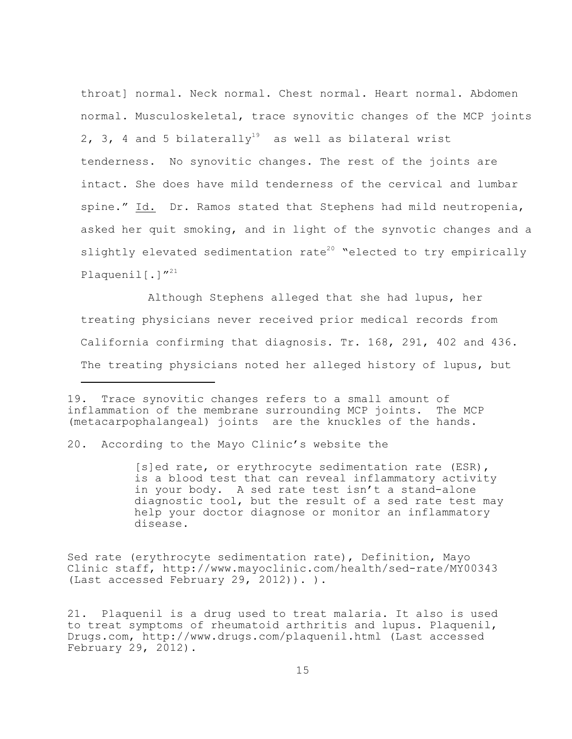throat] normal. Neck normal. Chest normal. Heart normal. Abdomen normal. Musculoskeletal, trace synovitic changes of the MCP joints 2, 3, 4 and 5 bilaterally<sup>19</sup> as well as bilateral wrist tenderness. No synovitic changes. The rest of the joints are intact. She does have mild tenderness of the cervical and lumbar spine." Id. Dr. Ramos stated that Stephens had mild neutropenia, asked her quit smoking, and in light of the synvotic changes and a slightly elevated sedimentation rate<sup>20</sup> "elected to try empirically Plaquenil<sup>[.]"21</sup>

Although Stephens alleged that she had lupus, her treating physicians never received prior medical records from California confirming that diagnosis. Tr. 168, 291, 402 and 436. The treating physicians noted her alleged history of lupus, but

Sed rate (erythrocyte sedimentation rate), Definition, Mayo Clinic staff, http://www.mayoclinic.com/health/sed-rate/MY00343 (Last accessed February 29, 2012)). ).

<sup>19.</sup> Trace synovitic changes refers to a small amount of inflammation of the membrane surrounding MCP joints. The MCP (metacarpophalangeal) joints are the knuckles of the hands.

<sup>20.</sup> According to the Mayo Clinic's website the

<sup>[</sup>s]ed rate, or erythrocyte sedimentation rate (ESR), is a blood test that can reveal inflammatory activity in your body. A sed rate test isn't a stand-alone diagnostic tool, but the result of a sed rate test may help your doctor diagnose or monitor an inflammatory disease.

<sup>21.</sup> Plaquenil is a drug used to treat malaria. It also is used to treat symptoms of rheumatoid arthritis and lupus. Plaquenil, Drugs.com, http://www.drugs.com/plaquenil.html (Last accessed February 29, 2012).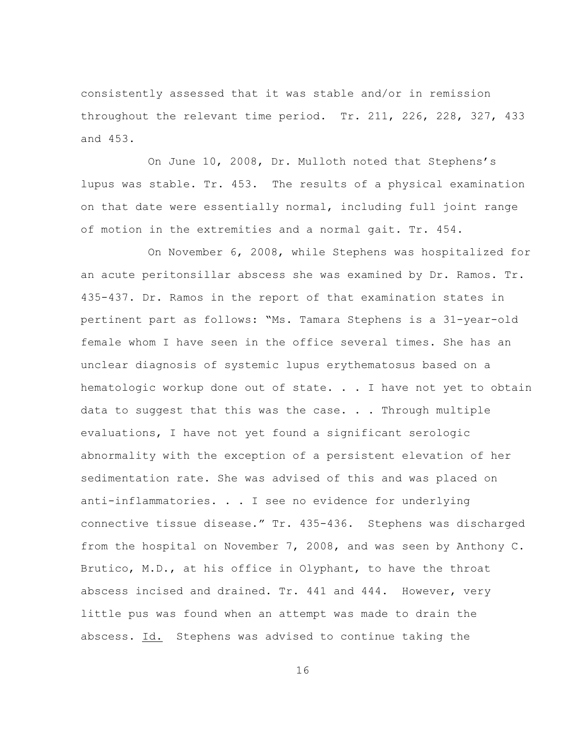consistently assessed that it was stable and/or in remission throughout the relevant time period. Tr. 211, 226, 228, 327, 433 and 453.

On June 10, 2008, Dr. Mulloth noted that Stephens's lupus was stable. Tr. 453. The results of a physical examination on that date were essentially normal, including full joint range of motion in the extremities and a normal gait. Tr. 454.

On November 6, 2008, while Stephens was hospitalized for an acute peritonsillar abscess she was examined by Dr. Ramos. Tr. 435-437. Dr. Ramos in the report of that examination states in pertinent part as follows: "Ms. Tamara Stephens is a 31-year-old female whom I have seen in the office several times. She has an unclear diagnosis of systemic lupus erythematosus based on a hematologic workup done out of state. . . I have not yet to obtain data to suggest that this was the case. . . Through multiple evaluations, I have not yet found a significant serologic abnormality with the exception of a persistent elevation of her sedimentation rate. She was advised of this and was placed on anti-inflammatories. . . I see no evidence for underlying connective tissue disease." Tr. 435-436. Stephens was discharged from the hospital on November 7, 2008, and was seen by Anthony C. Brutico, M.D., at his office in Olyphant, to have the throat abscess incised and drained. Tr. 441 and 444. However, very little pus was found when an attempt was made to drain the abscess. Id. Stephens was advised to continue taking the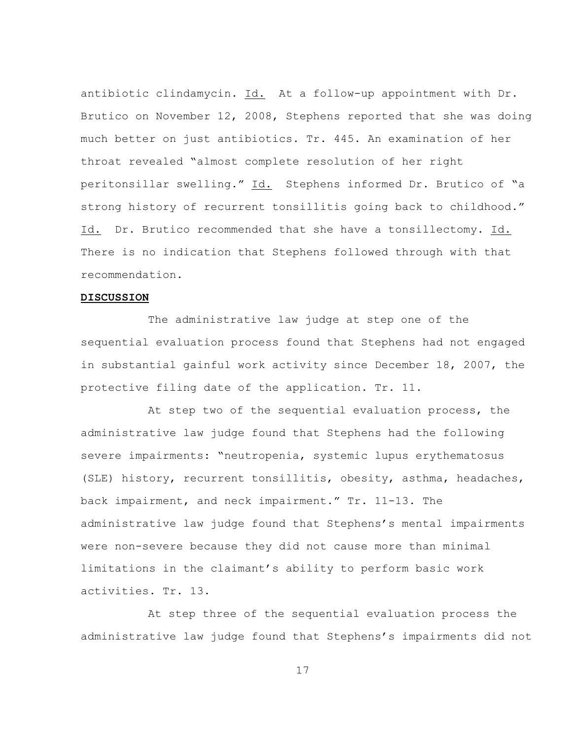antibiotic clindamycin. Id. At a follow-up appointment with Dr. Brutico on November 12, 2008, Stephens reported that she was doing much better on just antibiotics. Tr. 445. An examination of her throat revealed "almost complete resolution of her right peritonsillar swelling." Id. Stephens informed Dr. Brutico of "a strong history of recurrent tonsillitis going back to childhood." Id. Dr. Brutico recommended that she have a tonsillectomy. Id. There is no indication that Stephens followed through with that recommendation.

## **DISCUSSION**

The administrative law judge at step one of the sequential evaluation process found that Stephens had not engaged in substantial gainful work activity since December 18, 2007, the protective filing date of the application. Tr. 11.

At step two of the sequential evaluation process, the administrative law judge found that Stephens had the following severe impairments: "neutropenia, systemic lupus erythematosus (SLE) history, recurrent tonsillitis, obesity, asthma, headaches, back impairment, and neck impairment." Tr. 11-13. The administrative law judge found that Stephens's mental impairments were non-severe because they did not cause more than minimal limitations in the claimant's ability to perform basic work activities. Tr. 13.

At step three of the sequential evaluation process the administrative law judge found that Stephens's impairments did not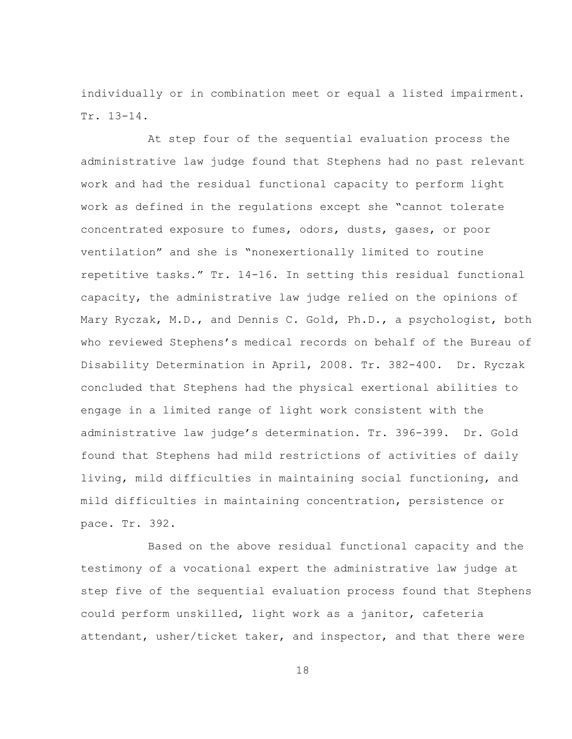individually or in combination meet or equal a listed impairment. Tr. 13-14.

At step four of the sequential evaluation process the administrative law judge found that Stephens had no past relevant work and had the residual functional capacity to perform light work as defined in the regulations except she "cannot tolerate concentrated exposure to fumes, odors, dusts, gases, or poor ventilation" and she is "nonexertionally limited to routine repetitive tasks." Tr. 14-16. In setting this residual functional capacity, the administrative law judge relied on the opinions of Mary Ryczak, M.D., and Dennis C. Gold, Ph.D., a psychologist, both who reviewed Stephens's medical records on behalf of the Bureau of Disability Determination in April, 2008. Tr. 382-400. Dr. Ryczak concluded that Stephens had the physical exertional abilities to engage in a limited range of light work consistent with the administrative law judge's determination. Tr. 396-399. Dr. Gold found that Stephens had mild restrictions of activities of daily living, mild difficulties in maintaining social functioning, and mild difficulties in maintaining concentration, persistence or pace. Tr. 392.

Based on the above residual functional capacity and the testimony of a vocational expert the administrative law judge at step five of the sequential evaluation process found that Stephens could perform unskilled, light work as a janitor, cafeteria attendant, usher/ticket taker, and inspector, and that there were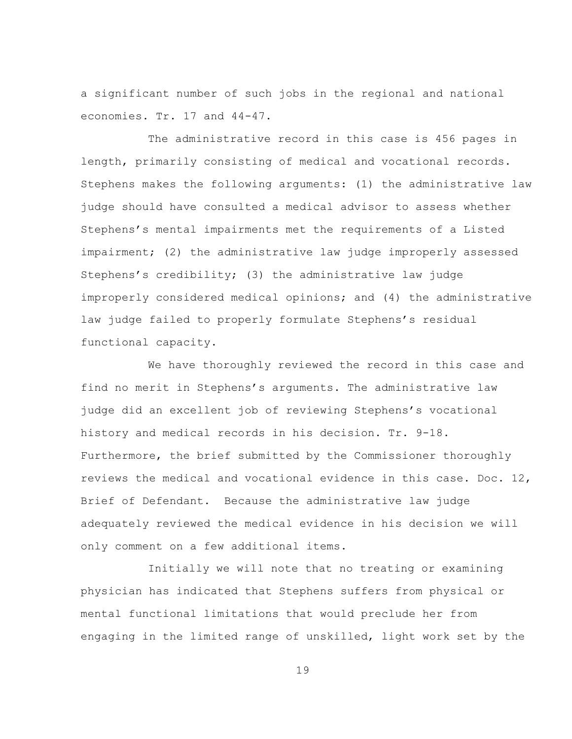a significant number of such jobs in the regional and national economies. Tr. 17 and 44-47.

The administrative record in this case is 456 pages in length, primarily consisting of medical and vocational records. Stephens makes the following arguments: (1) the administrative law judge should have consulted a medical advisor to assess whether Stephens's mental impairments met the requirements of a Listed impairment; (2) the administrative law judge improperly assessed Stephens's credibility; (3) the administrative law judge improperly considered medical opinions; and (4) the administrative law judge failed to properly formulate Stephens's residual functional capacity.

We have thoroughly reviewed the record in this case and find no merit in Stephens's arguments. The administrative law judge did an excellent job of reviewing Stephens's vocational history and medical records in his decision. Tr. 9-18. Furthermore, the brief submitted by the Commissioner thoroughly reviews the medical and vocational evidence in this case. Doc. 12, Brief of Defendant. Because the administrative law judge adequately reviewed the medical evidence in his decision we will only comment on a few additional items.

Initially we will note that no treating or examining physician has indicated that Stephens suffers from physical or mental functional limitations that would preclude her from engaging in the limited range of unskilled, light work set by the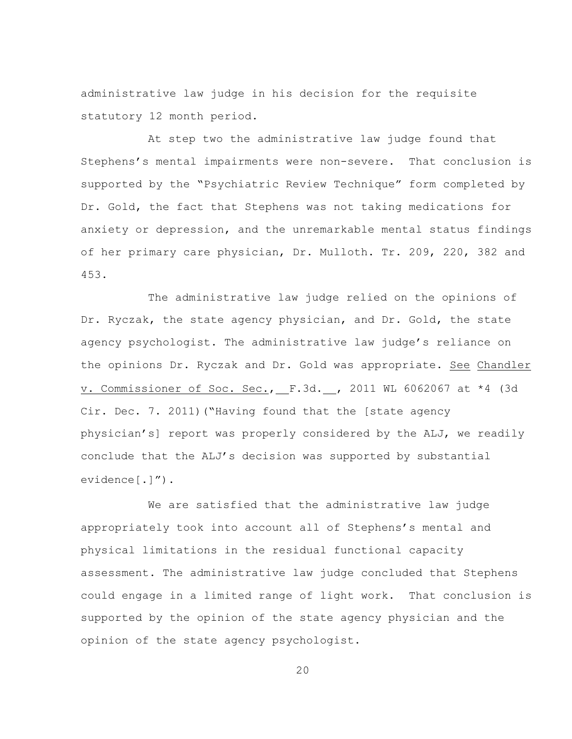administrative law judge in his decision for the requisite statutory 12 month period.

At step two the administrative law judge found that Stephens's mental impairments were non-severe. That conclusion is supported by the "Psychiatric Review Technique" form completed by Dr. Gold, the fact that Stephens was not taking medications for anxiety or depression, and the unremarkable mental status findings of her primary care physician, Dr. Mulloth. Tr. 209, 220, 382 and 453.

The administrative law judge relied on the opinions of Dr. Ryczak, the state agency physician, and Dr. Gold, the state agency psychologist. The administrative law judge's reliance on the opinions Dr. Ryczak and Dr. Gold was appropriate. See Chandler v. Commissioner of Soc. Sec., F.3d. , 2011 WL 6062067 at \*4 (3d Cir. Dec. 7. 2011)("Having found that the [state agency physician's] report was properly considered by the ALJ, we readily conclude that the ALJ's decision was supported by substantial evidence[.]").

We are satisfied that the administrative law judge appropriately took into account all of Stephens's mental and physical limitations in the residual functional capacity assessment. The administrative law judge concluded that Stephens could engage in a limited range of light work. That conclusion is supported by the opinion of the state agency physician and the opinion of the state agency psychologist.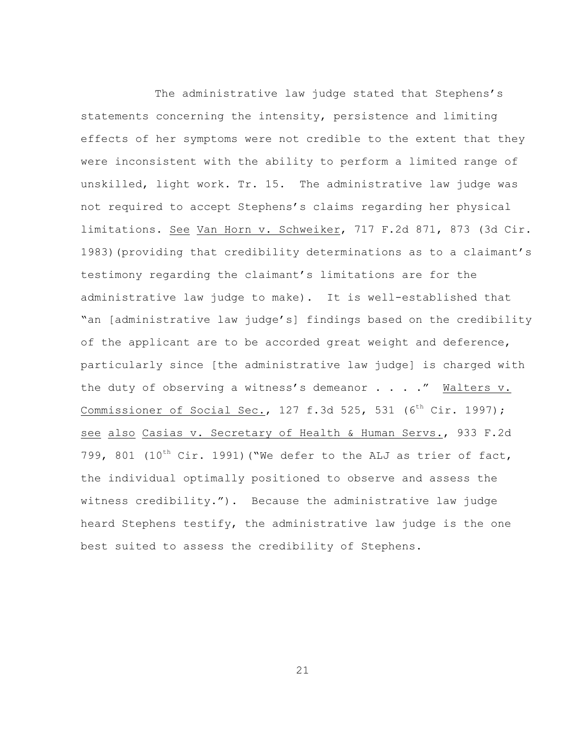The administrative law judge stated that Stephens's statements concerning the intensity, persistence and limiting effects of her symptoms were not credible to the extent that they were inconsistent with the ability to perform a limited range of unskilled, light work. Tr. 15. The administrative law judge was not required to accept Stephens's claims regarding her physical limitations. See Van Horn v. Schweiker, 717 F.2d 871, 873 (3d Cir. 1983)(providing that credibility determinations as to a claimant's testimony regarding the claimant's limitations are for the administrative law judge to make). It is well-established that "an [administrative law judge's] findings based on the credibility of the applicant are to be accorded great weight and deference, particularly since [the administrative law judge] is charged with the duty of observing a witness's demeanor . . . ." Walters v. Commissioner of Social Sec., 127 f.3d 525, 531 ( $6^{th}$  Cir. 1997); see also Casias v. Secretary of Health & Human Servs., 933 F.2d 799, 801 (10<sup>th</sup> Cir. 1991) ("We defer to the ALJ as trier of fact, the individual optimally positioned to observe and assess the witness credibility."). Because the administrative law judge heard Stephens testify, the administrative law judge is the one best suited to assess the credibility of Stephens.